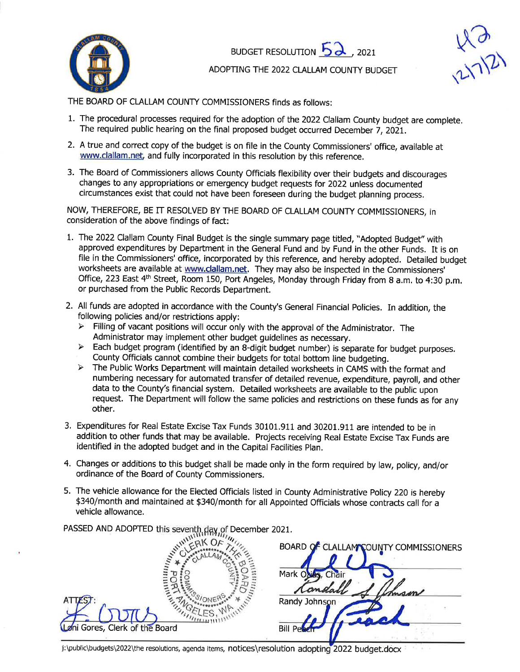

BUDGET RESOLUTION  $5\lambda$ , 2021



ADOPTING THE 2022 CLALLAM COUNTY BUDGET

THE BOARD OF CLALLAM COUNTY COMMISSIONERS finds as follows:

- 1. The procedural processes required for the adoption of the 2022 Clallam County budget are complete. The required public hearing on the final proposed budget occurred December 7,2OZl.
- 2. A true and correct copy of the budget is on file in the County Commissioners' office, available at www.clallam.net, and fully incorporated in this resolution by this reference.
- 3. The Board of Commissioners allows County Officials flexibility over their budgets and discourages changes to any appropriations or emergency budget requests for 2022 unless documented circumstances exist that could not have been foreseen during the budget planning process.

NOW, THEREFORE, BE IT RESOLVED BY THE BOARD OF CLALLAM COUNTY COMMISSIONERS, in consideration of the above findings of fact:

- 1. The 2022 Clallam County Final Budget is the single summary page titled, "Adopted Budget" with approved expenditures by Department in the General Fund and by Fund in the other Funds. It is on file in the Commissioners' office, incorporated by this reference, and hereby adopted. Detailed budget worksheets are available at www.clallam.net. They may also be inspected in the Commissioners' Office, 223 East 4<sup>th</sup> Street, Room 150, Port Angeles, Monday through Friday from 8 a.m. to 4:30 p.m. or purchased from the Public Records Department.
- 2. All funds are adopted in accordance with the County's General Financial Policies. In addition, the following policies and/or restrictions apply:<br>> Filling of vacant positions will occur only with the approval of the Administrator. The
	-
	- Administrator may implement other budget guidelines as necessary.<br>
	> Each budget program (identified by an 8-digit budget number) is separate for budget purposes.
	- County Officials cannot combine their budgets for total bottom line budgeting.<br>> The Public Works Department will maintain detailed worksheets in CAMS with the format and numbering necessary for automated transfer of detailed revenue, expenditure, payroll, and other data to the County's financial system. Detailed worksheets are available to the public upon request. The Department will follow the same policies and restrictions on these funds as for any other.
- 3. Expenditures for Real Estate Excise Tax Funds 30101.911 and 30201.911 are intended to be in addition to other funds that may be available. Projects receiving Real Estate Excise Tax Funds are identified in the adopted budget and in the Capital Facilities plan.
- 4. Changes or additions to this budget shall be made only in the form required by law, policy, and/or ordinance of the Board of County Commissioners.
- 5. The vehicle allowance for the Elected Officials listed in County Administrative Policy 220 is hereby \$340/month and maintained at \$340/month for all Appointed Officials whose contracts call for a vehicle allowance.

PASSED AND ADOPTED this seventh day of Decem ber 2027.

|                                       | BOARD OF CLALLAM COUNTY COMMISSIONERS |
|---------------------------------------|---------------------------------------|
|                                       | Mark Oxias, Chair                     |
| ATTEST:                               | Company<br>mam<br>Randy Johnson       |
| <b>Løni Gores, Clerk of the Board</b> | <b>Bill Pet</b>                       |

j:\public\budgets\2022\the resolutions, agenda items, notices\resolution adopting 2022 budget.docx